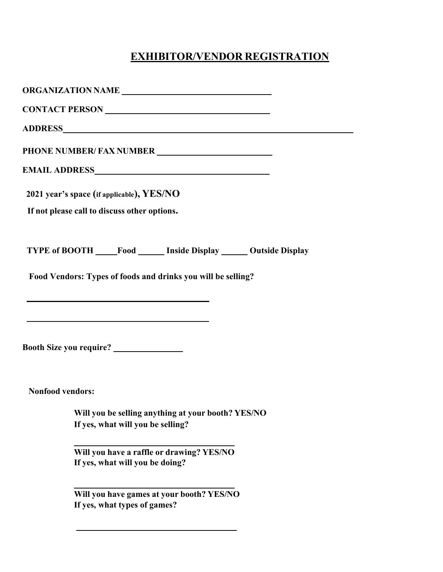## **EXHIBITOR/VENDOR REGISTRATION**

| ORGANIZATION NAME                                                         |
|---------------------------------------------------------------------------|
|                                                                           |
|                                                                           |
|                                                                           |
|                                                                           |
| 2021 year's space (if applicable), YES/NO                                 |
| If not please call to discuss other options.                              |
|                                                                           |
| TYPE of BOOTH ____Food _____ Inside Display ______ Outside Display        |
| Food Vendors: Types of foods and drinks you will be selling?              |
|                                                                           |
|                                                                           |
|                                                                           |
|                                                                           |
|                                                                           |
| <b>Nonfood vendors:</b>                                                   |
| Will you be selling anything at your booth? YES/NO                        |
| If yes, what will you be selling?                                         |
| Will you have a raffle or drawing? YES/NO                                 |
| If yes, what will you be doing?                                           |
|                                                                           |
| Will you have games at your booth? YES/NO<br>If yes, what types of games? |
|                                                                           |